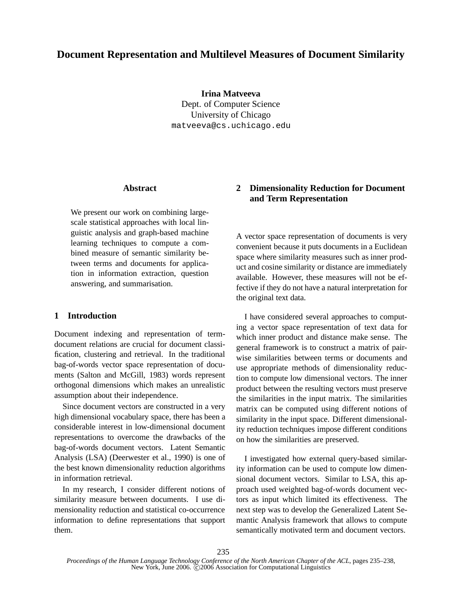# **Document Representation and Multilevel Measures of Document Similarity**

**Irina Matveeva** Dept. of Computer Science University of Chicago matveeva@cs.uchicago.edu

## **Abstract**

We present our work on combining largescale statistical approaches with local linguistic analysis and graph-based machine learning techniques to compute a combined measure of semantic similarity between terms and documents for application in information extraction, question answering, and summarisation.

## **1 Introduction**

Document indexing and representation of termdocument relations are crucial for document classification, clustering and retrieval. In the traditional bag-of-words vector space representation of documents (Salton and McGill, 1983) words represent orthogonal dimensions which makes an unrealistic assumption about their independence.

Since document vectors are constructed in a very high dimensional vocabulary space, there has been a considerable interest in low-dimensional document representations to overcome the drawbacks of the bag-of-words document vectors. Latent Semantic Analysis (LSA) (Deerwester et al., 1990) is one of the best known dimensionality reduction algorithms in information retrieval.

In my research, I consider different notions of similarity measure between documents. I use dimensionality reduction and statistical co-occurrence information to define representations that support them.

## **2 Dimensionality Reduction for Document and Term Representation**

A vector space representation of documents is very convenient because it puts documents in a Euclidean space where similarity measures such as inner product and cosine similarity or distance are immediately available. However, these measures will not be effective if they do not have a natural interpretation for the original text data.

I have considered several approaches to computing a vector space representation of text data for which inner product and distance make sense. The general framework is to construct a matrix of pairwise similarities between terms or documents and use appropriate methods of dimensionality reduction to compute low dimensional vectors. The inner product between the resulting vectors must preserve the similarities in the input matrix. The similarities matrix can be computed using different notions of similarity in the input space. Different dimensionality reduction techniques impose different conditions on how the similarities are preserved.

I investigated how external query-based similarity information can be used to compute low dimensional document vectors. Similar to LSA, this approach used weighted bag-of-words document vectors as input which limited its effectiveness. The next step was to develop the Generalized Latent Semantic Analysis framework that allows to compute semantically motivated term and document vectors.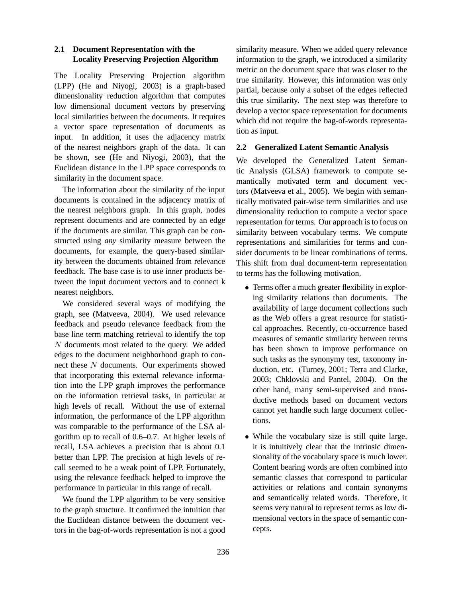## **2.1 Document Representation with the Locality Preserving Projection Algorithm**

The Locality Preserving Projection algorithm (LPP) (He and Niyogi, 2003) is a graph-based dimensionality reduction algorithm that computes low dimensional document vectors by preserving local similarities between the documents. It requires a vector space representation of documents as input. In addition, it uses the adjacency matrix of the nearest neighbors graph of the data. It can be shown, see (He and Niyogi, 2003), that the Euclidean distance in the LPP space corresponds to similarity in the document space.

The information about the similarity of the input documents is contained in the adjacency matrix of the nearest neighbors graph. In this graph, nodes represent documents and are connected by an edge if the documents are similar. This graph can be constructed using *any* similarity measure between the documents, for example, the query-based similarity between the documents obtained from relevance feedback. The base case is to use inner products between the input document vectors and to connect k nearest neighbors.

We considered several ways of modifying the graph, see (Matveeva, 2004). We used relevance feedback and pseudo relevance feedback from the base line term matching retrieval to identify the top N documents most related to the query. We added edges to the document neighborhood graph to connect these N documents. Our experiments showed that incorporating this external relevance information into the LPP graph improves the performance on the information retrieval tasks, in particular at high levels of recall. Without the use of external information, the performance of the LPP algorithm was comparable to the performance of the LSA algorithm up to recall of 0.6–0.7. At higher levels of recall, LSA achieves a precision that is about 0.1 better than LPP. The precision at high levels of recall seemed to be a weak point of LPP. Fortunately, using the relevance feedback helped to improve the performance in particular in this range of recall.

We found the LPP algorithm to be very sensitive to the graph structure. It confirmed the intuition that the Euclidean distance between the document vectors in the bag-of-words representation is not a good

similarity measure. When we added query relevance information to the graph, we introduced a similarity metric on the document space that was closer to the true similarity. However, this information was only partial, because only a subset of the edges reflected this true similarity. The next step was therefore to develop a vector space representation for documents which did not require the bag-of-words representation as input.

## **2.2 Generalized Latent Semantic Analysis**

We developed the Generalized Latent Semantic Analysis (GLSA) framework to compute semantically motivated term and document vectors (Matveeva et al., 2005). We begin with semantically motivated pair-wise term similarities and use dimensionality reduction to compute a vector space representation for terms. Our approach is to focus on similarity between vocabulary terms. We compute representations and similarities for terms and consider documents to be linear combinations of terms. This shift from dual document-term representation to terms has the following motivation.

- Terms offer a much greater flexibility in exploring similarity relations than documents. The availability of large document collections such as the Web offers a great resource for statistical approaches. Recently, co-occurrence based measures of semantic similarity between terms has been shown to improve performance on such tasks as the synonymy test, taxonomy induction, etc. (Turney, 2001; Terra and Clarke, 2003; Chklovski and Pantel, 2004). On the other hand, many semi-supervised and transductive methods based on document vectors cannot yet handle such large document collections.
- While the vocabulary size is still quite large, it is intuitively clear that the intrinsic dimensionality of the vocabulary space is much lower. Content bearing words are often combined into semantic classes that correspond to particular activities or relations and contain synonyms and semantically related words. Therefore, it seems very natural to represent terms as low dimensional vectors in the space of semantic concepts.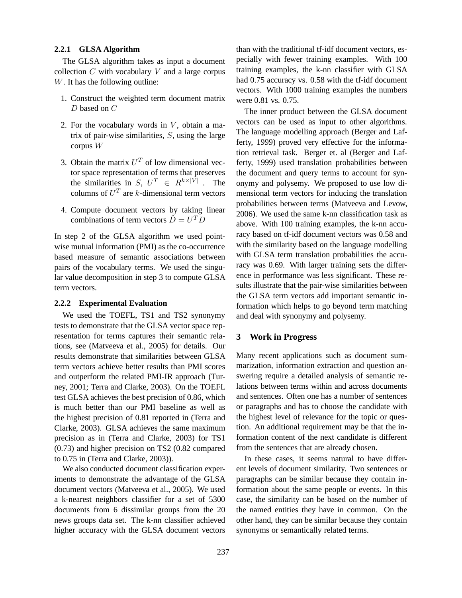#### **2.2.1 GLSA Algorithm**

The GLSA algorithm takes as input a document collection  $C$  with vocabulary  $V$  and a large corpus W. It has the following outline:

- 1. Construct the weighted term document matrix D based on C
- 2. For the vocabulary words in  $V$ , obtain a matrix of pair-wise similarities,  $S$ , using the large corpus W
- 3. Obtain the matrix  $U^T$  of low dimensional vector space representation of terms that preserves the similarities in S,  $U^T \in R^{k \times |\tilde{V}|}$ . The columns of  $U^T$  are k-dimensional term vectors
- 4. Compute document vectors by taking linear combinations of term vectors  $\hat{D} = U^T D$

In step 2 of the GLSA algorithm we used pointwise mutual information (PMI) as the co-occurrence based measure of semantic associations between pairs of the vocabulary terms. We used the singular value decomposition in step 3 to compute GLSA term vectors.

### **2.2.2 Experimental Evaluation**

We used the TOEFL, TS1 and TS2 synonymy tests to demonstrate that the GLSA vector space representation for terms captures their semantic relations, see (Matveeva et al., 2005) for details. Our results demonstrate that similarities between GLSA term vectors achieve better results than PMI scores and outperform the related PMI-IR approach (Turney, 2001; Terra and Clarke, 2003). On the TOEFL test GLSA achieves the best precision of 0.86, which is much better than our PMI baseline as well as the highest precision of 0.81 reported in (Terra and Clarke, 2003). GLSA achieves the same maximum precision as in (Terra and Clarke, 2003) for TS1 (0.73) and higher precision on TS2 (0.82 compared to 0.75 in (Terra and Clarke, 2003)).

We also conducted document classification experiments to demonstrate the advantage of the GLSA document vectors (Matveeva et al., 2005). We used a k-nearest neighbors classifier for a set of 5300 documents from 6 dissimilar groups from the 20 news groups data set. The k-nn classifier achieved higher accuracy with the GLSA document vectors than with the traditional tf-idf document vectors, especially with fewer training examples. With 100 training examples, the k-nn classifier with GLSA had 0.75 accuracy vs. 0.58 with the tf-idf document vectors. With 1000 training examples the numbers were 0.81 vs. 0.75.

The inner product between the GLSA document vectors can be used as input to other algorithms. The language modelling approach (Berger and Lafferty, 1999) proved very effective for the information retrieval task. Berger et. al (Berger and Lafferty, 1999) used translation probabilities between the document and query terms to account for synonymy and polysemy. We proposed to use low dimensional term vectors for inducing the translation probabilities between terms (Matveeva and Levow, 2006). We used the same k-nn classification task as above. With 100 training examples, the k-nn accuracy based on tf-idf document vectors was 0.58 and with the similarity based on the language modelling with GLSA term translation probabilities the accuracy was 0.69. With larger training sets the difference in performance was less significant. These results illustrate that the pair-wise similarities between the GLSA term vectors add important semantic information which helps to go beyond term matching and deal with synonymy and polysemy.

#### **3 Work in Progress**

Many recent applications such as document summarization, information extraction and question answering require a detailed analysis of semantic relations between terms within and across documents and sentences. Often one has a number of sentences or paragraphs and has to choose the candidate with the highest level of relevance for the topic or question. An additional requirement may be that the information content of the next candidate is different from the sentences that are already chosen.

In these cases, it seems natural to have different levels of document similarity. Two sentences or paragraphs can be similar because they contain information about the same people or events. In this case, the similarity can be based on the number of the named entities they have in common. On the other hand, they can be similar because they contain synonyms or semantically related terms.